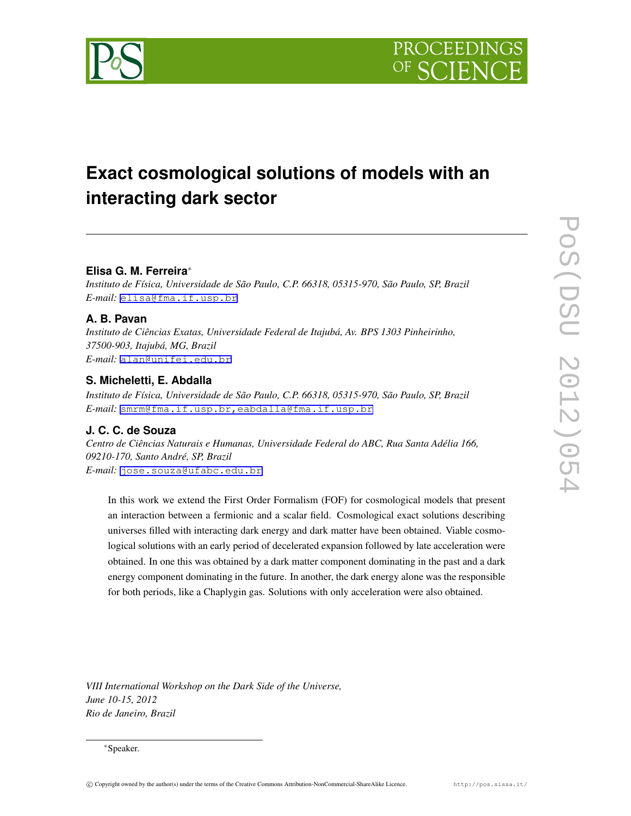



# **Exact cosmological solutions of models with an interacting dark sector**

#### **Elisa G. M. Ferreira***∗*

*Instituto de Física, Universidade de São Paulo, C.P. 66318, 05315-970, São Paulo, SP, Brazil E-mail:* [elisa@fma.if.usp.br](mailto:elisa@fma.if.usp.br)

## **A. B. Pavan**

*Instituto de Ciências Exatas, Universidade Federal de Itajubá, Av. BPS 1303 Pinheirinho, 37500-903, Itajubá, MG, Brazil E-mail:* [alan@unifei.edu.br](mailto:alan@unifei.edu.br)

## **S. Micheletti, E. Abdalla**

*Instituto de Física, Universidade de São Paulo, C.P. 66318, 05315-970, São Paulo, SP, Brazil E-mail:* [smrm@fma.if.usp.br,eabdalla@fma.if.usp.br](mailto:smrm@fma.if.usp.br,eabdalla@fma.if.usp.br)

## **J. C. C. de Souza**

*Centro de Ciências Naturais e Humanas, Universidade Federal do ABC, Rua Santa Adélia 166, 09210-170, Santo André, SP, Brazil E-mail:* [jose.souza@ufabc.edu.br](mailto:jose.souza@ufabc.edu.br)

In this work we extend the First Order Formalism (FOF) for cosmological models that present an interaction between a fermionic and a scalar field. Cosmological exact solutions describing universes filled with interacting dark energy and dark matter have been obtained. Viable cosmological solutions with an early period of decelerated expansion followed by late acceleration were obtained. In one this was obtained by a dark matter component dominating in the past and a dark energy component dominating in the future. In another, the dark energy alone was the responsible for both periods, like a Chaplygin gas. Solutions with only acceleration were also obtained.

*VIII International Workshop on the Dark Side of the Universe, June 10-15, 2012 Rio de Janeiro, Brazil*

*<sup>∗</sup>*Speaker.